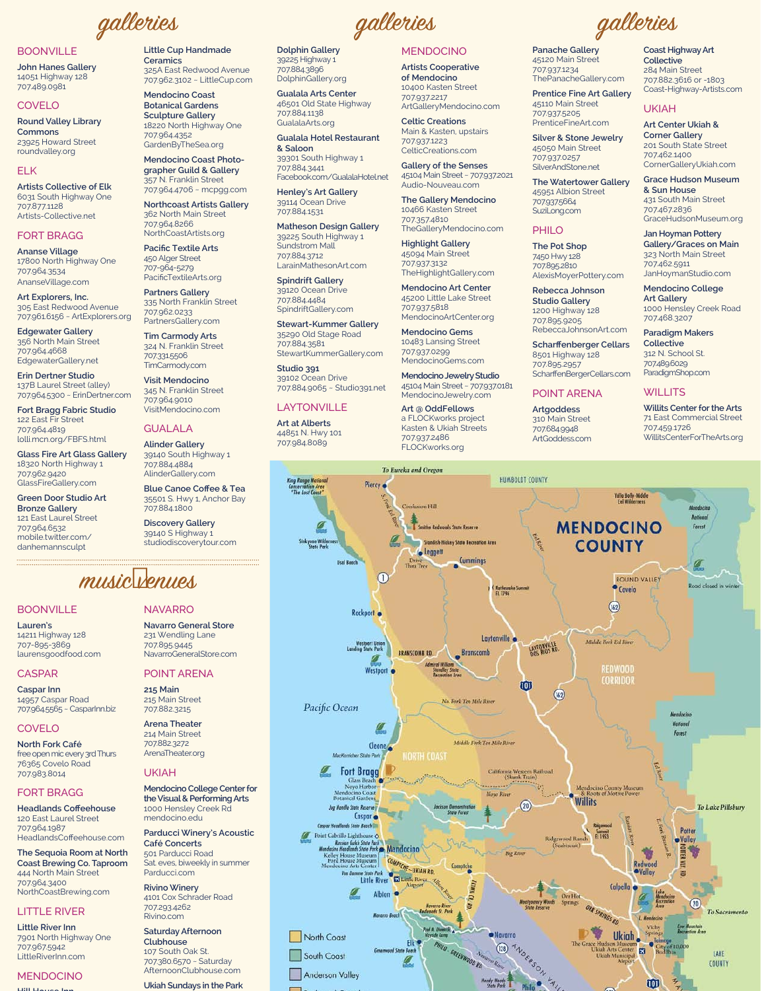galleries

#### **BOONVILLE**

**John Hanes Gallery** 14051 Highway 128 707.489.0981

#### **COVELO**

**Round Valley Library** Commons 23925 Howard Street roundvalley.org

#### FI<sub>K</sub>

**Artists Collective of Elk** 6031 South Highway One 707.877.1128 Artists-Collective.net

#### **FORT BRAGG**

**Ananse Village** 17800 North Highway One 707.964.3534 AnanseVillage.com

Art Explorers, Inc. 305 East Redwood Avenue 707.961.6156 ~ ArtExplorers.org

**Edgewater Gallery** 356 North Main Street 707.964.4668 EdgewaterGallery.net

Erin Dertner Studio 137B Laurel Street (alley) 707.964.5300 ~ ErinDertner.com

Fort Bragg Fabric Studio 122 East Fir Street 707.964.4819 lolli.mcn.org/FBFS.html

**Glass Fire Art Glass Gallery** 18320 North Highway 1 707.962.9420 GlassFireGallery.com

**Green Door Studio Art Bronze Gallery** 121 East Laurel Street 707.964.6532 mobile.twitter.com/ danhemannsculpt

#### Little Cup Handmade Ceramics 325A East Redwood Avenue 707.962.3102 ~ LittleCup.com

Mendocino Coast **Botanical Gardens Sculpture Gallery** 18220 North Highway One 707.964.4352 GardenByTheSea.org

Mendocino Coast Photographer Guild & Gallery 357 N. Franklin Street 707.964.4706 ~ mcpgg.com

**Northcoast Artists Gallery** 362 North Main Street 707.964.8266 NorthCoastArtists.org

**Pacific Textile Arts** 450 Alger Street 707-964-5279 PacificTextileArts.org

**Partners Gallery** 335 North Franklin Street 707.962.0233 PartnersGallery.com

**Tim Carmody Arts** 324 N. Franklin Street 7073315506 TimCarmody.com

**Visit Mendocino** 345 N. Franklin Street 707.964.9010 VisitMendocino.com

### **GUALALA**

**Alinder Gallery** 39140 South Highway 1 707.884.4884 AlinderGallery.com

**Blue Canoe Coffee & Tea** 35501 S. Hwy 1, Anchor Bay 707.884.1800

**Discovery Gallery** 39140 S Highway 1 studiodiscoverytour.com

## music venues

#### **ROONVILLE**

Lauren's 14211 Highway 128 707-895-3869 laurensgoodfood.com

#### **CASPAR**

Caspar Inn 14957 Caspar Road 707.964.5565 ~ CasparInn.biz

#### COVELO

North Fork Café free open mic every 3rd Thurs 76365 Covelo Road 707.983.8014

#### **FORT BRAGG**

**Headlands Coffeehouse** 120 Fast Laurel Street 707.964.1987 HeadlandsCoffeehouse.com

The Sequoia Room at North Coast Brewing Co. Taproom 444 North Main Street 707.964.3400 NorthCoastBrewing.com

#### **LITTLE RIVER**

**Little River Inn** 7901 North Highway One 707.967.5942 LittleRiverInn.com

## **MENDOCINO**

# galleries **Dolphin Gallery**

39225 Highway 1 707.884.3896 DolphinGallery.org

Gualala Arts Center 46501 Old State Highway 707.884.1138 GualalaArts.org

**Gualala Hotel Restaurant** & Saloon 39301 South Highway 1 707.884.3441 Facebook.com/GualalaHotel.net

Henley's Art Gallery 39114 Ocean Drive 707.884.1531

**Matheson Design Gallery** 39225 South Highway 1 Sundstrom Mall 707.884.3712 LarainMathesonArt.com

**Spindrift Gallery** 39120 Ocean Drive 707.884.4484 SpindriftGallery.com

**Stewart-Kummer Gallery** 35290 Old Stage Road 707.884.3581 StewartKummerGallery.com

Studio 391 39102 Ocean Drive 707.884.9065 ~ Studio391.net

### **LAYTONVILLE**

**Art at Alberts** 44851 N. Hwy 101 707.984.8089

#### **MENDOCINO**

**Artists Cooperative** of Mendocino 10400 Kasten Street 707.937.2217 ArtGalleryMendocino.com

**Celtic Creations** Main & Kasten, upstairs 707.937.1223 CelticCreations com

**Gallery of the Senses** 45104 Main Street ~ 707.937.2021 Audio-Nouveau.com

The Gallery Mendocino 10466 Kasten Street 707.357.4810 TheGalleryMendocino.com

**Highlight Gallery** 45094 Main Street 707.937.3132 TheHighlightGallery.com

Mendocino Art Center 45200 Little Lake Street 707.937.5818 MendocinoArtCenter.org

Mendocino Gems 10483 Lansing Street 707.937.0299 MendocinoGems.com

Mendocino Jewelry Studio 45104 Main Street ~ 707.937.0181 MendocinoJewelry.com

Art @ OddFellows a FLOCKworks project Kasten & Ukiah Streets **Panache Gallery** 45120 Main Street 707.937.1234 ThePanacheGallery.com

**Prentice Fine Art Gallery** 45110 Main Street 707.937.5205

PrenticeFineArt.com Silver & Stone Jewelry 45050 Main Street 707.937.0257

SilverAndStone.net **The Watertower Gallery** 

45951 Albion Street 7079375664 SuziLong.com

#### **PHILO**

The Pot Shop 7450 Hwy 128 7078052810 AlexisMoyerPottery.com

Rebecca Johnson **Studio Gallery** 1200 Highway 128 707.895.9205 RebeccaJohnsonArt.com

Scharffenberger Cellars 8501 Highway 128 707895.2957 ScharffenBergerCellars.com

**POINT ARENA** 

Artgoddess 310 Main Street

707.684.9948

Coast Highway Art Collective 284 Main Street 707.882.3616 or -1803 Coast-Highway-Artists.com

#### **UKIAH**

galleries

Art Center Ukiah & **Corner Gallery** 201 South State Street 707.462.1400 CornerGalleryUkiah.com

**Grace Hudson Museum** & Sun House 431 South Main Street 707.467.2836 GraceHudsonMuseum.org

Jan Hoyman Pottery Gallery/Graces on Main 323 North Main Street 707.462.5911 JanHoymanStudio.com

Mendocino College **Art Gallery** 1000 Hensley Creek Road 707.468.3207

#### **Paradigm Makers** Collective

312 N. School St <sub>-</sub><br>707489.6029 ParadigmShop.com

#### **WILLITS**

**Willits Center for the Arts 71 Fast Commercial Street** 707.459.1726 WillitsCenterForTheArts.org



231 Wendling Lane 707.895.9445 NavarroGeneralStore.com

215 Main 215 Main Street 707.882.3215

**Arena Theater** 214 Main Street 707.882.3272 ArenaTheater.org

#### **UKIAH**

Mendocino College Center for the Visual & Performing Arts 1000 Hensley Creek Rd mendocino.edu

#### **Parducci Winery's Acoustic** Café Concerts 501 Parducci Road Sat. eves, biweekly in summer

Parducci com **Rivino Winery** 4101 Cox Schrader Road 707.293.4262 Rivino com

**Saturday Afternoon** Clubhouse 107 South Oak St. 707.380.6570 ~ Saturday AfternoonClubhouse.com

Ukiah Sundays in the Park

**NAVARRO** Navarro General Store

**POINT ARENA**